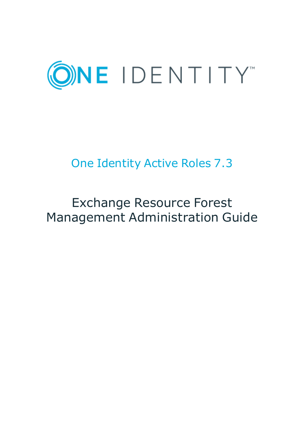

# One Identity Active Roles 7.3

# Exchange Resource Forest Management Administration Guide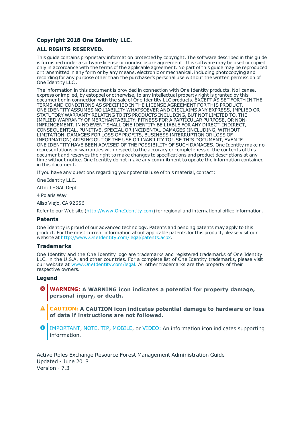#### **Copyright 2018 One Identity LLC.**

#### **ALL RIGHTS RESERVED.**

This guide contains proprietary information protected by copyright. The software described in this guide is furnished under a software license or nondisclosure agreement. This software may be used or copied only in accordance with the terms of the applicable agreement. No part of this guide may be reproduced or transmitted in any form or by any means, electronic or mechanical, including photocopying and recording for any purpose other than the purchaser's personal use without the written permission of One Identity LLC .

The information in this document is provided in connection with One Identity products. No license, express or implied, by estoppel or otherwise, to any intellectual property right is granted by this document or in connection with the sale of One Identity LLC products. EXCEPT AS SET FORTH IN THE TERMS AND CONDITIONS AS SPECIFIED IN THE LICENSE AGREEMENT FOR THIS PRODUCT, ONE IDENTITY ASSUMES NO LIABILITY WHATSOEVER AND DISCLAIMS ANY EXPRESS, IMPLIED OR STATUTORY WARRANTY RELATING TO ITS PRODUCTS INCLUDING, BUT NOT LIMITED TO, THE IMPLIED WARRANTY OF MERCHANTABILITY, FITNESS FOR A PARTICULAR PURPOSE, OR NON-INFRINGEMENT. IN NO EVENT SHALL ONE IDENTITY BE LIABLE FOR ANY DIRECT, INDIRECT, CONSEQUENTIAL, PUNITIVE, SPECIAL OR INCIDENTAL DAMAGES (INCLUDING, WITHOUT LIMITATION, DAMAGES FOR LOSS OF PROFITS, BUSINESS INTERRUPTION OR LOSS OF INFORMATION) ARISING OUT OF THE USE OR INABILITY TO USE THIS DOCUMENT, EVEN IF ONE IDENTITY HAVE BEEN ADVISED OF THE POSSIBILITY OF SUCH DAMAGES. One Identity make no representations or warranties with respect to the accuracy or completeness of the contents of this document and reserves the right to make changes to specifications and product descriptions at any time without notice. One Identity do not make any commitment to update the information contained in this document.

If you have any questions regarding your potential use of this material, contact:

One Identity LLC.

Attn: LEGAL Dept

4 Polaris Way

Aliso Viejo, CA 92656

Refer to our Web site ([http://www.OneIdentity.com](http://www.oneidentity.com/)) for regional and international office information.

#### **Patents**

One Identity is proud of our advanced technology. Patents and pending patents may apply to this product. For the most current information about applicable patents for this product, please visit our website at [http://www.OneIdentity.com/legal/patents.aspx](http://www.oneidentity.com/legal/patents.aspx).

#### **Trademarks**

One Identity and the One Identity logo are trademarks and registered trademarks of One Identity LLC. in the U.S.A. and other countries. For a complete list of One Identity trademarks, please visit our website at [www.OneIdentity.com/legal](http://www.oneidentity.com/legal). All other trademarks are the property of their respective owners.

#### **Legend**

- **WARNING: A WARNING icon indicates a potential for property damage, personal injury, or death.**
- **CAUTION: A CAUTION icon indicates potential damage to hardware or loss of data if instructions are not followed.**
- Œ IMPORTANT, NOTE, TIP, MOBILE, or VIDEO: An information icon indicates supporting information.

Active Roles Exchange Resource Forest Management Administration Guide Updated - June 2018 Version - 7.3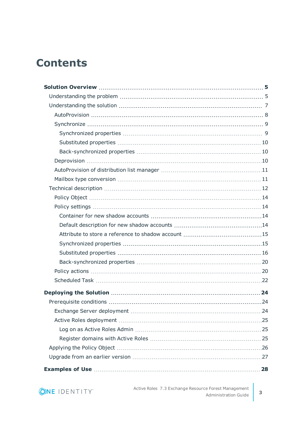## **Contents**

| .24 |
|-----|
|     |
|     |
|     |
|     |
|     |
|     |

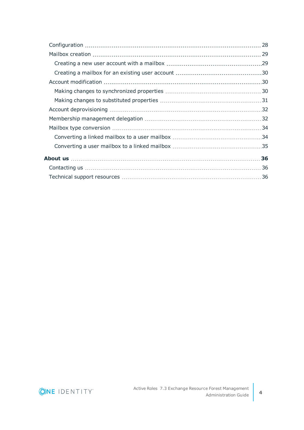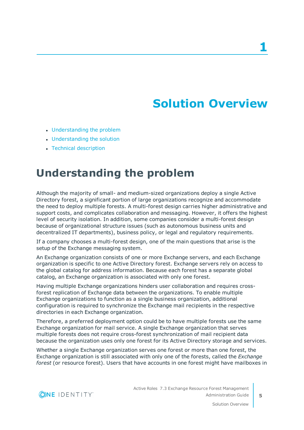# **Solution Overview**

- <span id="page-4-0"></span>• [Understanding](#page-4-1) the problem
- [Understanding](#page-6-0) the solution
- <span id="page-4-1"></span>• Technical [description](#page-11-0)

### **Understanding the problem**

Although the majority of small- and medium-sized organizations deploy a single Active Directory forest, a significant portion of large organizations recognize and accommodate the need to deploy multiple forests. A multi-forest design carries higher administrative and support costs, and complicates collaboration and messaging. However, it offers the highest level of security isolation. In addition, some companies consider a multi-forest design because of organizational structure issues (such as autonomous business units and decentralized IT departments), business policy, or legal and regulatory requirements.

If a company chooses a multi-forest design, one of the main questions that arise is the setup of the Exchange messaging system.

An Exchange organization consists of one or more Exchange servers, and each Exchange organization is specific to one Active Directory forest. Exchange servers rely on access to the global catalog for address information. Because each forest has a separate global catalog, an Exchange organization is associated with only one forest.

Having multiple Exchange organizations hinders user collaboration and requires crossforest replication of Exchange data between the organizations. To enable multiple Exchange organizations to function as a single business organization, additional configuration is required to synchronize the Exchange mail recipients in the respective directories in each Exchange organization.

Therefore, a preferred deployment option could be to have multiple forests use the same Exchange organization for mail service. A single Exchange organization that serves multiple forests does not require cross-forest synchronization of mail recipient data because the organization uses only one forest for its Active Directory storage and services.

Whether a single Exchange organization serves one forest or more than one forest, the Exchange organization is still associated with only one of the forests, called the *Exchange forest* (or resource forest). Users that have accounts in one forest might have mailboxes in

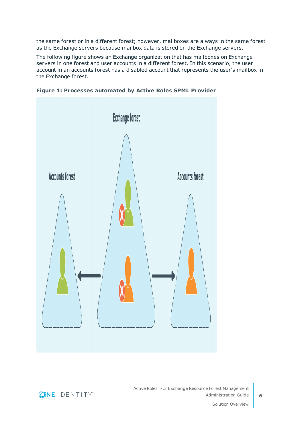the same forest or in a different forest; however, mailboxes are always in the same forest as the Exchange servers because mailbox data is stored on the Exchange servers.

The following figure shows an Exchange organization that has mailboxes on Exchange servers in one forest and user accounts in a different forest. In this scenario, the user account in an accounts forest has a disabled account that represents the user's mailbox in the Exchange forest.



**Figure 1: Processes automated by Active Roles SPML Provider**



Active Roles 7.3 Exchange Resource Forest Management Administration Guide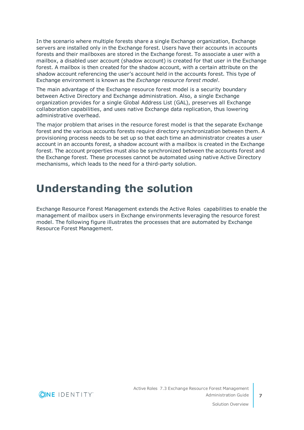In the scenario where multiple forests share a single Exchange organization, Exchange servers are installed only in the Exchange forest. Users have their accounts in accounts forests and their mailboxes are stored in the Exchange forest. To associate a user with a mailbox, a disabled user account (shadow account) is created for that user in the Exchange forest. A mailbox is then created for the shadow account, with a certain attribute on the shadow account referencing the user's account held in the accounts forest. This type of Exchange environment is known as the *Exchange resource forest model*.

The main advantage of the Exchange resource forest model is a security boundary between Active Directory and Exchange administration. Also, a single Exchange organization provides for a single Global Address List (GAL), preserves all Exchange collaboration capabilities, and uses native Exchange data replication, thus lowering administrative overhead.

The major problem that arises in the resource forest model is that the separate Exchange forest and the various accounts forests require directory synchronization between them. A provisioning process needs to be set up so that each time an administrator creates a user account in an accounts forest, a shadow account with a mailbox is created in the Exchange forest. The account properties must also be synchronized between the accounts forest and the Exchange forest. These processes cannot be automated using native Active Directory mechanisms, which leads to the need for a third-party solution.

## <span id="page-6-0"></span>**Understanding the solution**

Exchange Resource Forest Management extends the Active Roles capabilities to enable the management of mailbox users in Exchange environments leveraging the resource forest model. The following figure illustrates the processes that are automated by Exchange Resource Forest Management.

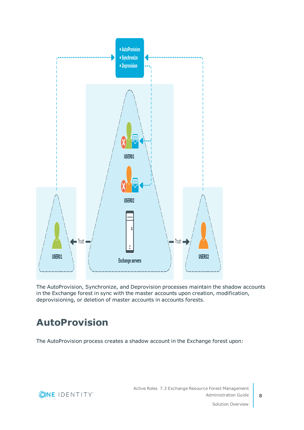

The AutoProvision, Synchronize, and Deprovision processes maintain the shadow accounts in the Exchange forest in sync with the master accounts upon creation, modification, deprovisioning, or deletion of master accounts in accounts forests.

## <span id="page-7-0"></span>**AutoProvision**

The AutoProvision process creates a shadow account in the Exchange forest upon:



Solution Overview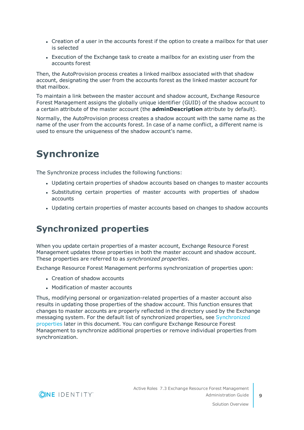- Creation of a user in the accounts forest if the option to create a mailbox for that user is selected
- Execution of the Exchange task to create a mailbox for an existing user from the accounts forest

Then, the AutoProvision process creates a linked mailbox associated with that shadow account, designating the user from the accounts forest as the linked master account for that mailbox.

To maintain a link between the master account and shadow account, Exchange Resource Forest Management assigns the globally unique identifier (GUID) of the shadow account to a certain attribute of the master account (the **adminDescription** attribute by default).

Normally, the AutoProvision process creates a shadow account with the same name as the name of the user from the accounts forest. In case of a name conflict, a different name is used to ensure the uniqueness of the shadow account's name.

## <span id="page-8-0"></span>**Synchronize**

The Synchronize process includes the following functions:

- Updating certain properties of shadow accounts based on changes to master accounts
- Substituting certain properties of master accounts with properties of shadow accounts
- Updating certain properties of master accounts based on changes to shadow accounts

#### <span id="page-8-1"></span>**Synchronized properties**

When you update certain properties of a master account, Exchange Resource Forest Management updates those properties in both the master account and shadow account. These properties are referred to as *synchronized properties*.

Exchange Resource Forest Management performs synchronization of properties upon:

- Creation of shadow accounts
- Modification of master accounts

Thus, modifying personal or organization-related properties of a master account also results in updating those properties of the shadow account. This function ensures that changes to master accounts are properly reflected in the directory used by the Exchange messaging system. For the default list of synchronized properties, see [Synchronized](#page-14-1) [properties](#page-14-1) later in this document. You can configure Exchange Resource Forest Management to synchronize additional properties or remove individual properties from synchronization.

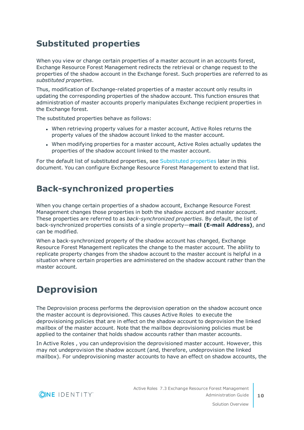#### <span id="page-9-0"></span>**Substituted properties**

When you view or change certain properties of a master account in an accounts forest, Exchange Resource Forest Management redirects the retrieval or change request to the properties of the shadow account in the Exchange forest. Such properties are referred to as *substituted properties*.

Thus, modification of Exchange-related properties of a master account only results in updating the corresponding properties of the shadow account. This function ensures that administration of master accounts properly manipulates Exchange recipient properties in the Exchange forest.

The substituted properties behave as follows:

- When retrieving property values for a master account, Active Roles returns the property values of the shadow account linked to the master account.
- When modifying properties for a master account, Active Roles actually updates the properties of the shadow account linked to the master account.

For the default list of substituted properties, see [Substituted](#page-15-0) properties later in this document. You can configure Exchange Resource Forest Management to extend that list.

#### <span id="page-9-1"></span>**Back-synchronized properties**

When you change certain properties of a shadow account, Exchange Resource Forest Management changes those properties in both the shadow account and master account. These properties are referred to as *back-synchronized properties*. By default, the list of back-synchronized properties consists of a single property—**mail (E-mail Address)**, and can be modified.

When a back-synchronized property of the shadow account has changed, Exchange Resource Forest Management replicates the change to the master account. The ability to replicate property changes from the shadow account to the master account is helpful in a situation where certain properties are administered on the shadow account rather than the master account.

### <span id="page-9-2"></span>**Deprovision**

The Deprovision process performs the deprovision operation on the shadow account once the master account is deprovisioned. This causes Active Roles to execute the deprovisioning policies that are in effect on the shadow account to deprovision the linked mailbox of the master account. Note that the mailbox deprovisioning policies must be applied to the container that holds shadow accounts rather than master accounts.

In Active Roles , you can undeprovision the deprovisioned master account. However, this may not undeprovision the shadow account (and, therefore, undeprovision the linked mailbox). For undeprovisioning master accounts to have an effect on shadow accounts, the

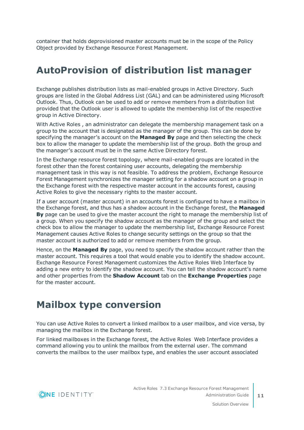container that holds deprovisioned master accounts must be in the scope of the Policy Object provided by Exchange Resource Forest Management.

### <span id="page-10-0"></span>**AutoProvision of distribution list manager**

Exchange publishes distribution lists as mail-enabled groups in Active Directory. Such groups are listed in the Global Address List (GAL) and can be administered using Microsoft Outlook. Thus, Outlook can be used to add or remove members from a distribution list provided that the Outlook user is allowed to update the membership list of the respective group in Active Directory.

With Active Roles , an administrator can delegate the membership management task on a group to the account that is designated as the manager of the group. This can be done by specifying the manager's account on the **Managed By** page and then selecting the check box to allow the manager to update the membership list of the group. Both the group and the manager's account must be in the same Active Directory forest.

In the Exchange resource forest topology, where mail-enabled groups are located in the forest other than the forest containing user accounts, delegating the membership management task in this way is not feasible. To address the problem, Exchange Resource Forest Management synchronizes the manager setting for a shadow account on a group in the Exchange forest with the respective master account in the accounts forest, causing Active Roles to give the necessary rights to the master account.

If a user account (master account) in an accounts forest is configured to have a mailbox in the Exchange forest, and thus has a shadow account in the Exchange forest, the **Managed By** page can be used to give the master account the right to manage the membership list of a group. When you specify the shadow account as the manager of the group and select the check box to allow the manager to update the membership list, Exchange Resource Forest Management causes Active Roles to change security settings on the group so that the master account is authorized to add or remove members from the group.

Hence, on the **Managed By** page, you need to specify the shadow account rather than the master account. This requires a tool that would enable you to identify the shadow account. Exchange Resource Forest Management customizes the Active Roles Web Interface by adding a new entry to identify the shadow account. You can tell the shadow account's name and other properties from the **Shadow Account** tab on the **Exchange Properties** page for the master account.

### <span id="page-10-1"></span>**Mailbox type conversion**

You can use Active Roles to convert a linked mailbox to a user mailbox, and vice versa, by managing the mailbox in the Exchange forest.

For linked mailboxes in the Exchange forest, the Active Roles Web Interface provides a command allowing you to unlink the mailbox from the external user. The command converts the mailbox to the user mailbox type, and enables the user account associated

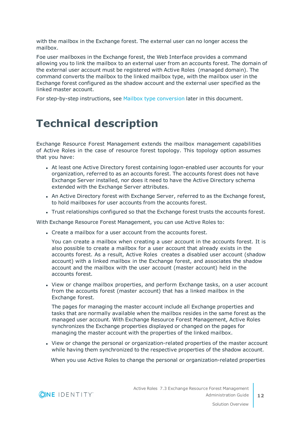with the mailbox in the Exchange forest. The external user can no longer access the mailbox.

Foe user mailboxes in the Exchange forest, the Web Interface provides a command allowing you to link the mailbox to an external user from an accounts forest. The domain of the external user account must be registered with Active Roles (managed domain). The command converts the mailbox to the linked mailbox type, with the mailbox user in the Exchange forest configured as the shadow account and the external user specified as the linked master account.

<span id="page-11-0"></span>For step-by-step instructions, see Mailbox type [conversion](#page-33-0) later in this document.

## **Technical description**

Exchange Resource Forest Management extends the mailbox management capabilities of Active Roles in the case of resource forest topology. This topology option assumes that you have:

- At least one Active Directory forest containing logon-enabled user accounts for your organization, referred to as an accounts forest. The accounts forest does not have Exchange Server installed, nor does it need to have the Active Directory schema extended with the Exchange Server attributes.
- An Active Directory forest with Exchange Server, referred to as the Exchange forest, to hold mailboxes for user accounts from the accounts forest.
- Trust relationships configured so that the Exchange forest trusts the accounts forest.

With Exchange Resource Forest Management, you can use Active Roles to:

• Create a mailbox for a user account from the accounts forest.

You can create a mailbox when creating a user account in the accounts forest. It is also possible to create a mailbox for a user account that already exists in the accounts forest. As a result, Active Roles creates a disabled user account (shadow account) with a linked mailbox in the Exchange forest, and associates the shadow account and the mailbox with the user account (master account) held in the accounts forest.

• View or change mailbox properties, and perform Exchange tasks, on a user account from the accounts forest (master account) that has a linked mailbox in the Exchange forest.

The pages for managing the master account include all Exchange properties and tasks that are normally available when the mailbox resides in the same forest as the managed user account. With Exchange Resource Forest Management, Active Roles synchronizes the Exchange properties displayed or changed on the pages for managing the master account with the properties of the linked mailbox.

• View or change the personal or organization-related properties of the master account while having them synchronized to the respective properties of the shadow account.

When you use Active Roles to change the personal or organization-related properties

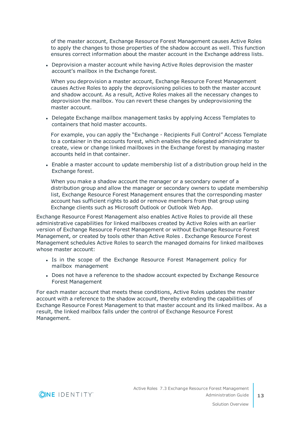of the master account, Exchange Resource Forest Management causes Active Roles to apply the changes to those properties of the shadow account as well. This function ensures correct information about the master account in the Exchange address lists.

• Deprovision a master account while having Active Roles deprovision the master account's mailbox in the Exchange forest.

When you deprovision a master account, Exchange Resource Forest Management causes Active Roles to apply the deprovisioning policies to both the master account and shadow account. As a result, Active Roles makes all the necessary changes to deprovision the mailbox. You can revert these changes by undeprovisioning the master account.

• Delegate Exchange mailbox management tasks by applying Access Templates to containers that hold master accounts.

For example, you can apply the "Exchange - Recipients Full Control" Access Template to a container in the accounts forest, which enables the delegated administrator to create, view or change linked mailboxes in the Exchange forest by managing master accounts held in that container.

• Enable a master account to update membership list of a distribution group held in the Exchange forest.

When you make a shadow account the manager or a secondary owner of a distribution group and allow the manager or secondary owners to update membership list, Exchange Resource Forest Management ensures that the corresponding master account has sufficient rights to add or remove members from that group using Exchange clients such as Microsoft Outlook or Outlook Web App.

Exchange Resource Forest Management also enables Active Roles to provide all these administrative capabilities for linked mailboxes created by Active Roles with an earlier version of Exchange Resource Forest Management or without Exchange Resource Forest Management, or created by tools other than Active Roles . Exchange Resource Forest Management schedules Active Roles to search the managed domains for linked mailboxes whose master account:

- Is in the scope of the Exchange Resource Forest Management policy for mailbox management
- Does not have a reference to the shadow account expected by Exchange Resource Forest Management

For each master account that meets these conditions, Active Roles updates the master account with a reference to the shadow account, thereby extending the capabilities of Exchange Resource Forest Management to that master account and its linked mailbox. As a result, the linked mailbox falls under the control of Exchange Resource Forest Management.

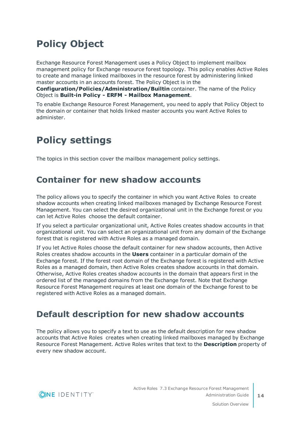## <span id="page-13-0"></span>**Policy Object**

Exchange Resource Forest Management uses a Policy Object to implement mailbox management policy for Exchange resource forest topology. This policy enables Active Roles to create and manage linked mailboxes in the resource forest by administering linked master accounts in an accounts forest. The Policy Object is in the

**Configuration/Policies/Administration/Builtin** container. The name of the Policy Object is **Built-in Policy - ERFM - Mailbox Management**.

To enable Exchange Resource Forest Management, you need to apply that Policy Object to the domain or container that holds linked master accounts you want Active Roles to administer.

### <span id="page-13-1"></span>**Policy settings**

<span id="page-13-2"></span>The topics in this section cover the mailbox management policy settings.

#### **Container for new shadow accounts**

The policy allows you to specify the container in which you want Active Roles to create shadow accounts when creating linked mailboxes managed by Exchange Resource Forest Management. You can select the desired organizational unit in the Exchange forest or you can let Active Roles choose the default container.

If you select a particular organizational unit, Active Roles creates shadow accounts in that organizational unit. You can select an organizational unit from any domain of the Exchange forest that is registered with Active Roles as a managed domain.

If you let Active Roles choose the default container for new shadow accounts, then Active Roles creates shadow accounts in the **Users** container in a particular domain of the Exchange forest. If the forest root domain of the Exchange forest is registered with Active Roles as a managed domain, then Active Roles creates shadow accounts in that domain. Otherwise, Active Roles creates shadow accounts in the domain that appears first in the ordered list of the managed domains from the Exchange forest. Note that Exchange Resource Forest Management requires at least one domain of the Exchange forest to be registered with Active Roles as a managed domain.

#### <span id="page-13-3"></span>**Default description for new shadow accounts**

The policy allows you to specify a text to use as the default description for new shadow accounts that Active Roles creates when creating linked mailboxes managed by Exchange Resource Forest Management. Active Roles writes that text to the **Description** property of every new shadow account.

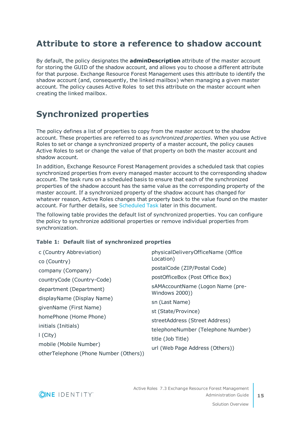#### <span id="page-14-0"></span>**Attribute to store a reference to shadow account**

By default, the policy designates the **adminDescription** attribute of the master account for storing the GUID of the shadow account, and allows you to choose a different attribute for that purpose. Exchange Resource Forest Management uses this attribute to identify the shadow account (and, consequently, the linked mailbox) when managing a given master account. The policy causes Active Roles to set this attribute on the master account when creating the linked mailbox.

### <span id="page-14-1"></span>**Synchronized properties**

The policy defines a list of properties to copy from the master account to the shadow account. These properties are referred to as *synchronized properties*. When you use Active Roles to set or change a synchronized property of a master account, the policy causes Active Roles to set or change the value of that property on both the master account and shadow account.

In addition, Exchange Resource Forest Management provides a scheduled task that copies synchronized properties from every managed master account to the corresponding shadow account. The task runs on a scheduled basis to ensure that each of the synchronized properties of the shadow account has the same value as the corresponding property of the master account. If a synchronized property of the shadow account has changed for whatever reason, Active Roles changes that property back to the value found on the master account. For further details, see [Scheduled](#page-21-0) Task later in this document.

The following table provides the default list of synchronized properties. You can configure the policy to synchronize additional properties or remove individual properties from synchronization.

#### **Table 1: Default list of synchronized proprties**

| c (Country Abbreviation)               | physicalDeliveryOfficeName (Office<br>Location)    |  |
|----------------------------------------|----------------------------------------------------|--|
| co (Country)                           |                                                    |  |
| company (Company)                      | postalCode (ZIP/Postal Code)                       |  |
| countryCode (Country-Code)             | postOfficeBox (Post Office Box)                    |  |
| department (Department)                | sAMAccountName (Logon Name (pre-<br>Windows 2000)) |  |
| displayName (Display Name)             | sn (Last Name)                                     |  |
| givenName (First Name)                 |                                                    |  |
| homePhone (Home Phone)                 | st (State/Province)                                |  |
|                                        | streetAddress (Street Address)                     |  |
| initials (Initials)                    | telephoneNumber (Telephone Number)                 |  |
| $\mid$ (City)                          |                                                    |  |
| mobile (Mobile Number)                 | title (Job Title)                                  |  |
| otherTelephone (Phone Number (Others)) | url (Web Page Address (Others))                    |  |

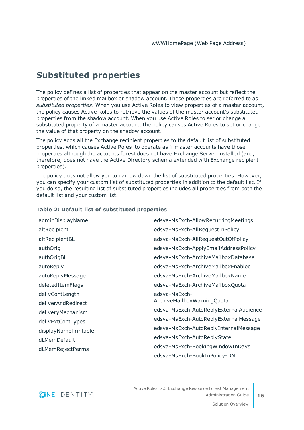#### <span id="page-15-0"></span>**Substituted properties**

The policy defines a list of properties that appear on the master account but reflect the properties of the linked mailbox or shadow account. These properties are referred to as *substituted properties*. When you use Active Roles to view properties of a master account, the policy causes Active Roles to retrieve the values of the master account's substituted properties from the shadow account. When you use Active Roles to set or change a substituted property of a master account, the policy causes Active Roles to set or change the value of that property on the shadow account.

The policy adds all the Exchange recipient properties to the default list of substituted properties, which causes Active Roles to operate as if master accounts have those properties although the accounts forest does not have Exchange Server installed (and, therefore, does not have the Active Directory schema extended with Exchange recipient properties).

The policy does not allow you to narrow down the list of substituted properties. However, you can specify your custom list of substituted properties in addition to the default list. If you do so, the resulting list of substituted properties includes all properties from both the default list and your custom list.

| adminDisplayName     | edsva-MsExch-AllowRecurringMeetings    |
|----------------------|----------------------------------------|
| altRecipient         | edsva-MsExch-AllRequestInPolicy        |
| altRecipientBL       | edsva-MsExch-AllRequestOutOfPolicy     |
| authOrig             | edsva-MsExch-ApplyEmailAddressPolicy   |
| authOrigBL           | edsva-MsExch-ArchiveMailboxDatabase    |
| autoReply            | edsva-MsExch-ArchiveMailboxEnabled     |
| autoReplyMessage     | edsva-MsExch-ArchiveMailboxName        |
| deletedItemFlags     | edsva-MsExch-ArchiveMailboxQuota       |
| delivContLength      | edsva-MsExch-                          |
| deliverAndRedirect   | ArchiveMailboxWarningQuota             |
| deliveryMechanism    | edsva-MsExch-AutoReplyExternalAudience |
| delivExtContTypes    | edsva-MsExch-AutoReplyExternalMessage  |
| displayNamePrintable | edsva-MsExch-AutoReplyInternalMessage  |
| dLMemDefault         | edsva-MsExch-AutoReplyState            |
| dLMemRejectPerms     | edsva-MsExch-BookingWindowInDays       |
|                      | edsva-MsExch-BookInPolicy-DN           |

#### **Table 2: Default list of substituted properties**

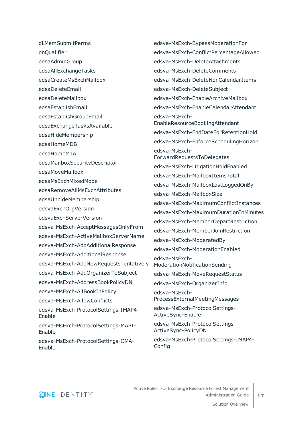dLMemSubmitPerms

dnQualifier

edsaAdminGroup

edsaAllExchangeTasks

- edsaCreateMsExchMailbox
- edsaDeleteEmail
- edsaDeleteMailbox
- edsaEstablishEmail
- edsaEstablishGroupEmail
- edsaExchangeTasksAvailable
- edsaHideMembership
- edsaHomeMDB
- edsaHomeMTA
- edsaMailboxSecurityDescriptor
- edsaMoveMailbox
- edsaMsExchMixedMode
- edsaRemoveAllMsExchAttributes
- edsaUnhideMembership
- edsvaExchOrgVersion
- edsvaExchServerVersion
- edsva-MsExch-AcceptMessagesOnlyFrom
- edsva-MsExch-ActiveMailboxServerName
- edsva-MsExch-AddAdditionalResponse
- edsva-MsExch-AdditionalResponse
- edsva-MsExch-AddNewRequestsTentatively
- edsva-MsExch-AddOrganizerToSubject
- edsva-MsExch-AddressBookPolicyDN
- edsva-MsExch-AllBookInPolicy
- edsva-MsExch-AllowConflicts
- edsva-MsExch-ProtocolSettings-IMAP4- Enable
- edsva-MsExch-ProtocolSettings-MAPI-Enable
- edsva-MsExch-ProtocolSettings-OMA-Enable

edsva-MsExch-BypassModerationFor edsva-MsExch-ConflictPercentageAllowed edsva-MsExch-DeleteAttachments edsva-MsExch-DeleteComments edsva-MsExch-DeleteNonCalendarItems edsva-MsExch-DeleteSubject edsva-MsExch-EnableArchiveMailbox edsva-MsExch-EnableCalendarAttendant edsva-MsExch-EnableResourceBookingAttendant edsva-MsExch-EndDateForRetentionHold edsva-MsExch-EnforceSchedulingHorizon edsva-MsExch-ForwardRequestsToDelegates edsva-MsExch-LitigationHoldEnabled edsva-MsExch-MailboxItemsTotal edsva-MsExch-MailboxLastLoggedOnBy edsva-MsExch-MailboxSize edsva-MsExch-MaximumConflictInstances edsva-MsExch-MaximumDurationInMinutes edsva-MsExch-MemberDepartRestriction edsva-MsExch-MemberJoinRestriction edsva-MsExch-ModeratedBy edsva-MsExch-ModerationEnabled edsva-MsExch-ModerationNotificationSending edsva-MsExch-MoveRequestStatus edsva-MsExch-OrganizerInfo edsva-MsExch-ProcessExternalMeetingMessages edsva-MsExch-ProtocolSettings-ActiveSync-Enable edsva-MsExch-ProtocolSettings-ActiveSync-PolicyDN

edsva-MsExch-ProtocolSettings-IMAP4- Config

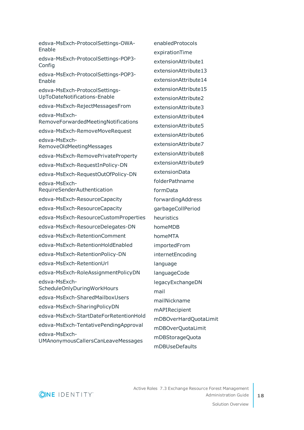edsva-MsExch-ProtocolSettings-OWA-Enable edsva-MsExch-ProtocolSettings-POP3- Config edsva-MsExch-ProtocolSettings-POP3- Enable edsva-MsExch-ProtocolSettings-UpToDateNotifications-Enable edsva-MsExch-RejectMessagesFrom edsva-MsExch-RemoveForwardedMeetingNotifications edsva-MsExch-RemoveMoveRequest edsva-MsExch-RemoveOldMeetingMessages edsva-MsExch-RemovePrivateProperty edsva-MsExch-RequestInPolicy-DN edsva-MsExch-RequestOutOfPolicy-DN edsva-MsExch-RequireSenderAuthentication edsva-MsExch-ResourceCapacity edsva-MsExch-ResourceCapacity edsva-MsExch-ResourceCustomProperties edsva-MsExch-ResourceDelegates-DN edsva-MsExch-RetentionComment edsva-MsExch-RetentionHoldEnabled edsva-MsExch-RetentionPolicy-DN edsva-MsExch-RetentionUrl edsva-MsExch-RoleAssignmentPolicyDN edsva-MsExch-ScheduleOnlyDuringWorkHours edsva-MsExch-SharedMailboxUsers edsva-MsExch-SharingPolicyDN edsva-MsExch-StartDateForRetentionHold edsva-MsExch-TentativePendingApproval edsva-MsExch-UMAnonymousCallersCanLeaveMessages

enabledProtocols expirationTime extensionAttribute1 extensionAttribute13 extensionAttribute14 extensionAttribute15 extensionAttribute2 extensionAttribute3 extensionAttribute4 extensionAttribute5 extensionAttribute6 extensionAttribute7 extensionAttribute8 extensionAttribute9 extensionData folderPathname formData forwardingAddress garbageCollPeriod heuristics homeMDB homeMTA importedFrom internetEncoding language languageCode legacyExchangeDN mail mailNickname mAPIRecipient mDBOverHardQuotaLimit mDBOverQuotaLimit mDBStorageQuota mDBUseDefaults

**ONE IDENTITY**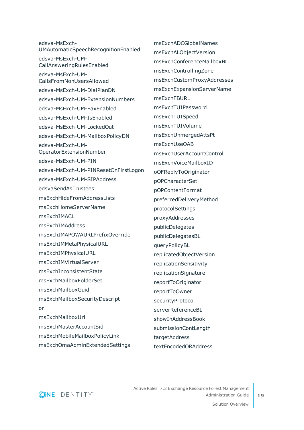edsva-MsExch-UMAutomaticSpeechRecognitionEnabled edsva-MsExch-UM-CallAnsweringRulesEnabled edsva-MsExch-UM-CallsFromNonUsersAllowed edsva-MsExch-UM-DialPlanDN edsva-MsExch-UM-ExtensionNumbers edsva-MsExch-UM-FaxEnabled edsva-MsExch-UM-IsEnabled edsva-MsExch-UM-LockedOut edsva-MsExch-UM-MailboxPolicyDN edsva-MsExch-UM-OperatorExtensionNumber edsva-MsExch-UM-PIN edsva-MsExch-UM-PINResetOnFirstLogon edsva-MsExch-UM-SIPAddress edsvaSendAsTrustees msExchHideFromAddressLists msExchHomeServerName msFxchIMACL msExchIMAddress msExchIMAPOWAURLPrefixOverride msExchIMMetaPhysicalURL msExchIMPhysicalURL msExchIMVirtualServer msExchInconsistentState msExchMailboxFolderSet msExchMailboxGuid msExchMailboxSecurityDescript or msExchMailboxUrl msExchMasterAccountSid msExchMobileMailboxPolicyLink msExchOmaAdminExtendedSettings

msExchADCGlobalNames msExchALObjectVersion msExchConferenceMailboxBL msExchControllingZone msExchCustomProxyAddresses msExchExpansionServerName msExchFBURL msExchTUIPassword msExchTUISpeed msExchTUIVolume msExchUnmergedAttsPt msExchUseOAB msExchUserAccountControl msExchVoiceMailboxID oOFReplyToOriginator pOPCharacterSet pOPContentFormat preferredDeliveryMethod protocolSettings proxyAddresses publicDelegates publicDelegatesBL queryPolicyBL replicatedObjectVersion replicationSensitivity replicationSignature reportToOriginator reportToOwner securityProtocol serverReferenceBL showInAddressBook submissionContLength targetAddress textEncodedORAddress

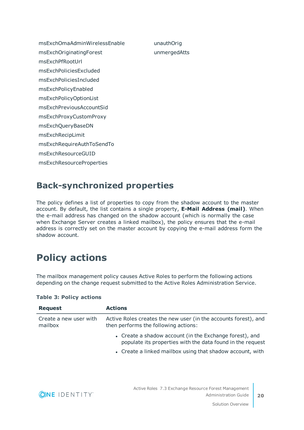msExchOmaAdminWirelessEnable msExchOriginatingForest msExchPfRootUrl msExchPoliciesExcluded msExchPoliciesIncluded msExchPolicyEnabled msExchPolicyOptionList msExchPreviousAccountSid msExchProxyCustomProxy msExchQueryBaseDN msExchRecipLimit msExchRequireAuthToSendTo msExchResourceGUID msExchResourceProperties

unauthOrig unmergedAtts

#### <span id="page-19-0"></span>**Back-synchronized properties**

The policy defines a list of properties to copy from the shadow account to the master account. By default, the list contains a single property, **E-Mail Address (mail)**. When the e-mail address has changed on the shadow account (which is normally the case when Exchange Server creates a linked mailbox), the policy ensures that the e-mail address is correctly set on the master account by copying the e-mail address form the shadow account.

### <span id="page-19-1"></span>**Policy actions**

The mailbox management policy causes Active Roles to perform the following actions depending on the change request submitted to the Active Roles Administration Service.

| <b>Request</b>                    | <b>Actions</b>                                                                                                                                                                     |
|-----------------------------------|------------------------------------------------------------------------------------------------------------------------------------------------------------------------------------|
| Create a new user with<br>mailbox | Active Roles creates the new user (in the accounts forest), and<br>then performs the following actions:                                                                            |
|                                   | • Create a shadow account (in the Exchange forest), and<br>populate its properties with the data found in the request<br>• Create a linked mailbox using that shadow account, with |

#### **Table 3: Policy actions**

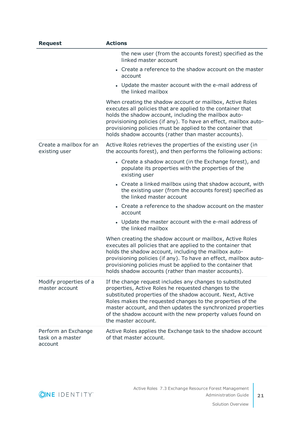| <b>Request</b>                                     | <b>Actions</b>                                                                                                                                                                                                                                                                                                                                                                                      |
|----------------------------------------------------|-----------------------------------------------------------------------------------------------------------------------------------------------------------------------------------------------------------------------------------------------------------------------------------------------------------------------------------------------------------------------------------------------------|
|                                                    | the new user (from the accounts forest) specified as the<br>linked master account                                                                                                                                                                                                                                                                                                                   |
|                                                    | • Create a reference to the shadow account on the master<br>account                                                                                                                                                                                                                                                                                                                                 |
|                                                    | • Update the master account with the e-mail address of<br>the linked mailbox                                                                                                                                                                                                                                                                                                                        |
|                                                    | When creating the shadow account or mailbox, Active Roles<br>executes all policies that are applied to the container that<br>holds the shadow account, including the mailbox auto-<br>provisioning policies (if any). To have an effect, mailbox auto-<br>provisioning policies must be applied to the container that<br>holds shadow accounts (rather than master accounts).                       |
| Create a mailbox for an<br>existing user           | Active Roles retrieves the properties of the existing user (in<br>the accounts forest), and then performs the following actions:                                                                                                                                                                                                                                                                    |
|                                                    | • Create a shadow account (in the Exchange forest), and<br>populate its properties with the properties of the<br>existing user                                                                                                                                                                                                                                                                      |
|                                                    | • Create a linked mailbox using that shadow account, with<br>the existing user (from the accounts forest) specified as<br>the linked master account                                                                                                                                                                                                                                                 |
|                                                    | • Create a reference to the shadow account on the master<br>account                                                                                                                                                                                                                                                                                                                                 |
|                                                    | • Update the master account with the e-mail address of<br>the linked mailbox                                                                                                                                                                                                                                                                                                                        |
|                                                    | When creating the shadow account or mailbox, Active Roles<br>executes all policies that are applied to the container that<br>holds the shadow account, including the mailbox auto-<br>provisioning policies (if any). To have an effect, mailbox auto-<br>provisioning policies must be applied to the container that<br>holds shadow accounts (rather than master accounts).                       |
| Modify properties of a<br>master account           | If the change request includes any changes to substituted<br>properties, Active Roles he requested changes to the<br>substituted properties of the shadow account. Next, Active<br>Roles makes the requested changes to the properties of the<br>master account, and then updates the synchronized properties<br>of the shadow account with the new property values found on<br>the master account. |
| Perform an Exchange<br>task on a master<br>account | Active Roles applies the Exchange task to the shadow account<br>of that master account.                                                                                                                                                                                                                                                                                                             |

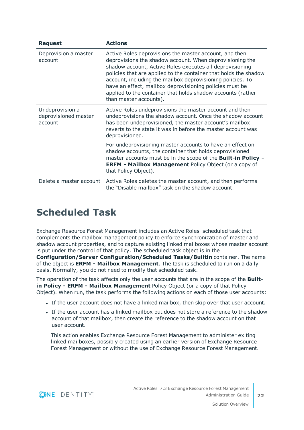| <b>Request</b>                                     | <b>Actions</b>                                                                                                                                                                                                                                                                                                                                                                                                                                                       |
|----------------------------------------------------|----------------------------------------------------------------------------------------------------------------------------------------------------------------------------------------------------------------------------------------------------------------------------------------------------------------------------------------------------------------------------------------------------------------------------------------------------------------------|
| Deprovision a master<br>account                    | Active Roles deprovisions the master account, and then<br>deprovisions the shadow account. When deprovisioning the<br>shadow account, Active Roles executes all deprovisioning<br>policies that are applied to the container that holds the shadow<br>account, including the mailbox deprovisioning policies. To<br>have an effect, mailbox deprovisioning policies must be<br>applied to the container that holds shadow accounts (rather<br>than master accounts). |
| Undeprovision a<br>deprovisioned master<br>account | Active Roles undeprovisions the master account and then<br>undeprovisions the shadow account. Once the shadow account<br>has been undeprovisioned, the master account's mailbox<br>reverts to the state it was in before the master account was<br>deprovisioned.                                                                                                                                                                                                    |
|                                                    | For undeprovisioning master accounts to have an effect on<br>shadow accounts, the container that holds deprovisioned<br>master accounts must be in the scope of the Built-in Policy -<br><b>ERFM - Mailbox Management Policy Object (or a copy of</b><br>that Policy Object).                                                                                                                                                                                        |
| Delete a master account                            | Active Roles deletes the master account, and then performs<br>the "Disable mailbox" task on the shadow account.                                                                                                                                                                                                                                                                                                                                                      |

### <span id="page-21-0"></span>**Scheduled Task**

Exchange Resource Forest Management includes an Active Roles scheduled task that complements the mailbox management policy to enforce synchronization of master and shadow account properties, and to capture existing linked mailboxes whose master account is put under the control of that policy. The scheduled task object is in the

**Configuration/Server Configuration/Scheduled Tasks/Builtin** container. The name of the object is **ERFM - Mailbox Management**. The task is scheduled to run on a daily basis. Normally, you do not need to modify that scheduled task.

The operation of the task affects only the user accounts that are in the scope of the **Builtin Policy - ERFM - Mailbox Management** Policy Object (or a copy of that Policy Object). When run, the task performs the following actions on each of those user accounts:

- If the user account does not have a linked mailbox, then skip over that user account.
- If the user account has a linked mailbox but does not store a reference to the shadow account of that mailbox, then create the reference to the shadow account on that user account.

This action enables Exchange Resource Forest Management to administer exiting linked mailboxes, possibly created using an earlier version of Exchange Resource Forest Management or without the use of Exchange Resource Forest Management.

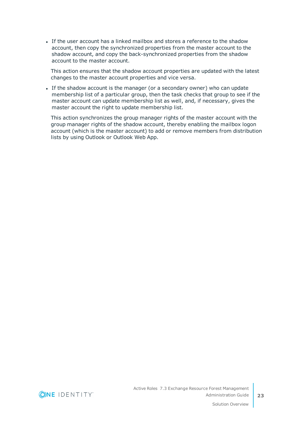If the user account has a linked mailbox and stores a reference to the shadow account, then copy the synchronized properties from the master account to the shadow account, and copy the back-synchronized properties from the shadow account to the master account.

This action ensures that the shadow account properties are updated with the latest changes to the master account properties and vice versa.

• If the shadow account is the manager (or a secondary owner) who can update membership list of a particular group, then the task checks that group to see if the master account can update membership list as well, and, if necessary, gives the master account the right to update membership list.

This action synchronizes the group manager rights of the master account with the group manager rights of the shadow account, thereby enabling the mailbox logon account (which is the master account) to add or remove members from distribution lists by using Outlook or Outlook Web App.

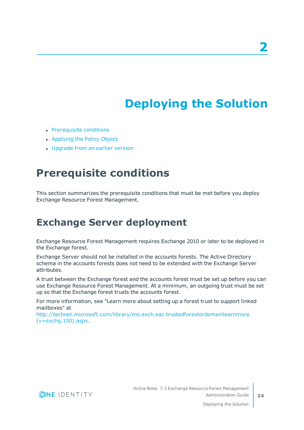# **Deploying the Solution**

- <span id="page-23-0"></span>• [Prerequisite](#page-23-1) conditions
- [Applying](#page-25-0) the Policy Object
- <span id="page-23-1"></span>• [Upgrade](#page-26-0) from an earlier version

## **Prerequisite conditions**

This section summarizes the prerequisite conditions that must be met before you deploy Exchange Resource Forest Management.

### <span id="page-23-2"></span>**Exchange Server deployment**

Exchange Resource Forest Management requires Exchange 2010 or later to be deployed in the Exchange forest.

Exchange Server should not be installed in the accounts forests. The Active Directory schema in the accounts forests does not need to be extended with the Exchange Server attributes.

A trust between the Exchange forest and the accounts forest must be set up before you can use Exchange Resource Forest Management. At a minimum, an outgoing trust must be set up so that the Exchange forest trusts the accounts forest.

For more information, see "Learn more about setting up a forest trust to support linked mailboxes" at

[http://technet.microsoft.com/library/ms.exch.eac.trustedforestordomainlearnmore](http://technet.microsoft.com/library/ms.exch.eac.trustedforestordomainlearnmore(v=exchg.150).aspx) [\(v=exchg.150\).aspx](http://technet.microsoft.com/library/ms.exch.eac.trustedforestordomainlearnmore(v=exchg.150).aspx).

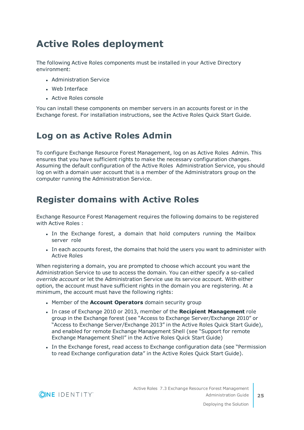### <span id="page-24-0"></span>**Active Roles deployment**

The following Active Roles components must be installed in your Active Directory environment:

- Administration Service
- $\bullet$  Web Interface
- Active Roles console

You can install these components on member servers in an accounts forest or in the Exchange forest. For installation instructions, see the Active Roles Quick Start Guide.

#### <span id="page-24-1"></span>**Log on as Active Roles Admin**

To configure Exchange Resource Forest Management, log on as Active Roles Admin. This ensures that you have sufficient rights to make the necessary configuration changes. Assuming the default configuration of the Active Roles Administration Service, you should log on with a domain user account that is a member of the Administrators group on the computer running the Administration Service.

#### <span id="page-24-2"></span>**Register domains with Active Roles**

Exchange Resource Forest Management requires the following domains to be registered with Active Roles :

- In the Exchange forest, a domain that hold computers running the Mailbox server role
- In each accounts forest, the domains that hold the users you want to administer with Active Roles

When registering a domain, you are prompted to choose which account you want the Administration Service to use to access the domain. You can either specify a so-called *override account* or let the Administration Service use its service account. With either option, the account must have sufficient rights in the domain you are registering. At a minimum, the account must have the following rights:

- **.** Member of the **Account Operators** domain security group
- <sup>l</sup> In case of Exchange 2010 or 2013, member of the **Recipient Management** role group in the Exchange forest (see "Access to Exchange Server/Exchange 2010" or "Access to Exchange Server/Exchange 2013" in the Active Roles Quick Start Guide), and enabled for remote Exchange Management Shell (see "Support for remote Exchange Management Shell" in the Active Roles Quick Start Guide)
- In the Exchange forest, read access to Exchange configuration data (see "Permission to read Exchange configuration data" in the Active Roles Quick Start Guide).

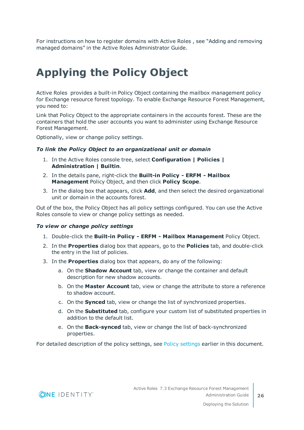For instructions on how to register domains with Active Roles , see "Adding and removing managed domains" in the Active Roles Administrator Guide.

# <span id="page-25-0"></span>**Applying the Policy Object**

Active Roles provides a built-in Policy Object containing the mailbox management policy for Exchange resource forest topology. To enable Exchange Resource Forest Management, you need to:

Link that Policy Object to the appropriate containers in the accounts forest. These are the containers that hold the user accounts you want to administer using Exchange Resource Forest Management.

Optionally, view or change policy settings.

#### *To link the Policy Object to an organizational unit or domain*

- 1. In the Active Roles console tree, select **Configuration | Policies | Administration | Builtin**.
- 2. In the details pane, right-click the **Built-in Policy - ERFM - Mailbox Management** Policy Object, and then click **Policy Scope**.
- 3. In the dialog box that appears, click **Add**, and then select the desired organizational unit or domain in the accounts forest.

Out of the box, the Policy Object has all policy settings configured. You can use the Active Roles console to view or change policy settings as needed.

#### *To view or change policy settings*

- 1. Double-click the **Built-in Policy - ERFM - Mailbox Management** Policy Object.
- 2. In the **Properties** dialog box that appears, go to the **Policies** tab, and double-click the entry in the list of policies.
- 3. In the **Properties** dialog box that appears, do any of the following:
	- a. On the **Shadow Account** tab, view or change the container and default description for new shadow accounts.
	- b. On the **Master Account** tab, view or change the attribute to store a reference to shadow account.
	- c. On the **Synced** tab, view or change the list of synchronized properties.
	- d. On the **Substituted** tab, configure your custom list of substituted properties in addition to the default list.
	- e. On the **Back-synced** tab, view or change the list of back-synchronized properties.

For detailed description of the policy settings, see Policy [settings](#page-13-1) earlier in this document.

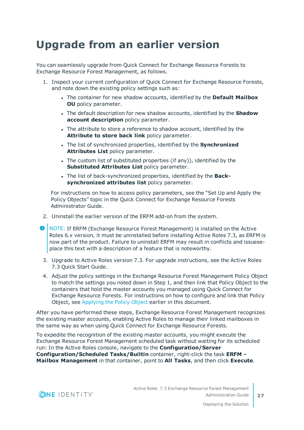## <span id="page-26-0"></span>**Upgrade from an earlier version**

You can seamlessly upgrade from Quick Connect for Exchange Resource Forests to Exchange Resource Forest Management, as follows.

- 1. Inspect your current configuration of Quick Connect for Exchange Resource Forests, and note down the existing policy settings such as:
	- <sup>l</sup> The container for new shadow accounts, identified by the **Default Mailbox OU** policy parameter.
	- **.** The default description for new shadow accounts, identified by the **Shadow account description** policy parameter.
	- The attribute to store a reference to shadow account, identified by the **Attribute to store back link** policy parameter.
	- <sup>l</sup> The list of synchronized properties, identified by the **Synchronized Attributes List** policy parameter.
	- The custom list of substituted properties (if any)), identified by the **Substituted Attributes List** policy parameter.
	- . The list of back-synchronized properties, identified by the **Backsynchronized attributes list** policy parameter.

For instructions on how to access policy parameters, see the "Set Up and Apply the Policy Objects" topic in the Quick Connect for Exchange Resource Forests Administrator Guide.

- 2. Uninstall the earlier version of the ERFM add-on from the system.
- **O** NOTE: If ERFM (Exchange Resource Forest Management) is installed on the Active Roles 6.x version, it must be uninstalled before installing Active Roles 7.3, as ERFM is now part of the product. Failure to uninstall ERFM may result in conflicts and issueseplace this text with a description of a feature that is noteworthy.
- 3. Upgrade to Active Roles version 7.3. For upgrade instructions, see the Active Roles 7.3 Quick Start Guide.
- 4. Adjust the policy settings in the Exchange Resource Forest Management Policy Object to match the settings you noted down in Step 1, and then link that Policy Object to the containers that hold the master accounts you managed using Quick Connect for Exchange Resource Forests. For instructions on how to configure and link that Policy Object, see [Applying](#page-25-0) the Policy Object earlier in this document.

After you have performed these steps, Exchange Resource Forest Management recognizes the existing master accounts, enabling Active Roles to manage their linked mailboxes in the same way as when using Quick Connect for Exchange Resource Forests.

To expedite the recognition of the existing master accounts, you might execute the Exchange Resource Forest Management scheduled task without waiting for its scheduled run: In the Active Roles console, navigate to the **Configuration/Server Configuration/Scheduled Tasks/Builtin** container, right-click the task **ERFM - Mailbox Management** in that container, point to **All Tasks**, and then click **Execute**.

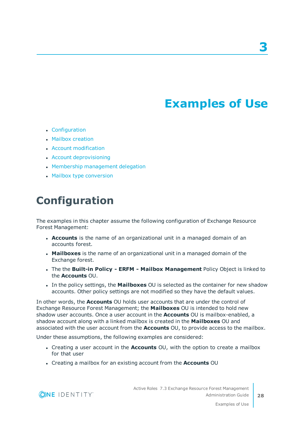# **Examples of Use**

- <span id="page-27-0"></span>• [Configuration](#page-27-1)
- Mailbox [creation](#page-28-0)
- Account [modification](#page-29-1)
- Account [deprovisioning](#page-31-0)
- Membership [management](#page-31-1) delegation
- <span id="page-27-1"></span>• Mailbox type [conversion](#page-33-0)

### **Configuration**

The examples in this chapter assume the following configuration of Exchange Resource Forest Management:

- **Accounts** is the name of an organizational unit in a managed domain of an accounts forest.
- **Mailboxes** is the name of an organizational unit in a managed domain of the Exchange forest.
- <sup>l</sup> The the **Built-in Policy - ERFM - Mailbox Management** Policy Object is linked to the **Accounts** OU.
- In the policy settings, the **Mailboxes** OU is selected as the container for new shadow accounts. Other policy settings are not modified so they have the default values.

In other words, the **Accounts** OU holds user accounts that are under the control of Exchange Resource Forest Management; the **Mailboxes** OU is intended to hold new shadow user accounts. Once a user account in the **Accounts** OU is mailbox-enabled, a shadow account along with a linked mailbox is created in the **Mailboxes** OU and associated with the user account from the **Accounts** OU, to provide access to the mailbox.

Under these assumptions, the following examples are considered:

- <sup>l</sup> Creating a user account in the **Accounts** OU, with the option to create a mailbox for that user
- <sup>l</sup> Creating a mailbox for an existing account from the **Accounts** OU

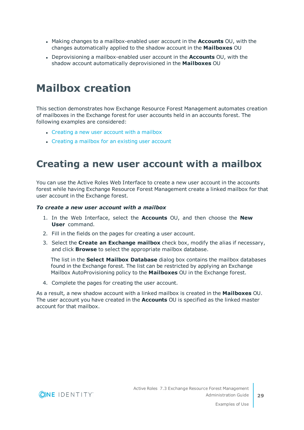- <sup>l</sup> Making changes to a mailbox-enabled user account in the **Accounts** OU, with the changes automatically applied to the shadow account in the **Mailboxes** OU
- <sup>l</sup> Deprovisioning a mailbox-enabled user account in the **Accounts** OU, with the shadow account automatically deprovisioned in the **Mailboxes** OU

## <span id="page-28-0"></span>**Mailbox creation**

This section demonstrates how Exchange Resource Forest Management automates creation of mailboxes in the Exchange forest for user accounts held in an accounts forest. The following examples are considered:

- [Creating](#page-28-1) a new user account with a mailbox
- [Creating](#page-29-0) a mailbox for an existing user account

### <span id="page-28-1"></span>**Creating a new user account with a mailbox**

You can use the Active Roles Web Interface to create a new user account in the accounts forest while having Exchange Resource Forest Management create a linked mailbox for that user account in the Exchange forest.

#### *To create a new user account with a mailbox*

- 1. In the Web Interface, select the **Accounts** OU, and then choose the **New User** command.
- 2. Fill in the fields on the pages for creating a user account.
- 3. Select the **Create an Exchange mailbox** check box, modify the alias if necessary, and click **Browse** to select the appropriate mailbox database.

The list in the **Select Mailbox Database** dialog box contains the mailbox databases found in the Exchange forest. The list can be restricted by applying an Exchange Mailbox AutoProvisioning policy to the **Mailboxes** OU in the Exchange forest.

4. Complete the pages for creating the user account.

As a result, a new shadow account with a linked mailbox is created in the **Mailboxes** OU. The user account you have created in the **Accounts** OU is specified as the linked master account for that mailbox.



**29**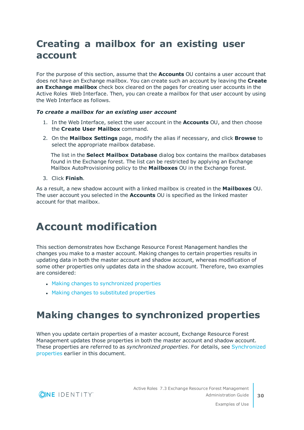### <span id="page-29-0"></span>**Creating a mailbox for an existing user account**

For the purpose of this section, assume that the **Accounts** OU contains a user account that does not have an Exchange mailbox. You can create such an account by leaving the **Create an Exchange mailbox** check box cleared on the pages for creating user accounts in the Active Roles Web Interface. Then, you can create a mailbox for that user account by using the Web Interface as follows.

#### *To create a mailbox for an existing user account*

- 1. In the Web Interface, select the user account in the **Accounts** OU, and then choose the **Create User Mailbox** command.
- 2. On the **Mailbox Settings** page, modify the alias if necessary, and click **Browse** to select the appropriate mailbox database.

The list in the **Select Mailbox Database** dialog box contains the mailbox databases found in the Exchange forest. The list can be restricted by applying an Exchange Mailbox AutoProvisioning policy to the **Mailboxes** OU in the Exchange forest.

3. Click **Finish**.

As a result, a new shadow account with a linked mailbox is created in the **Mailboxes** OU. The user account you selected in the **Accounts** OU is specified as the linked master account for that mailbox.

## <span id="page-29-1"></span>**Account modification**

This section demonstrates how Exchange Resource Forest Management handles the changes you make to a master account. Making changes to certain properties results in updating data in both the master account and shadow account, whereas modification of some other properties only updates data in the shadow account. Therefore, two examples are considered:

- Making changes to [synchronized](#page-29-2) properties
- Making changes to [substituted](#page-30-0) properties

### <span id="page-29-2"></span>**Making changes to synchronized properties**

When you update certain properties of a master account, Exchange Resource Forest Management updates those properties in both the master account and shadow account. These properties are referred to as *synchronized properties*. For details, see [Synchronized](#page-14-1) [properties](#page-14-1) earlier in this document.

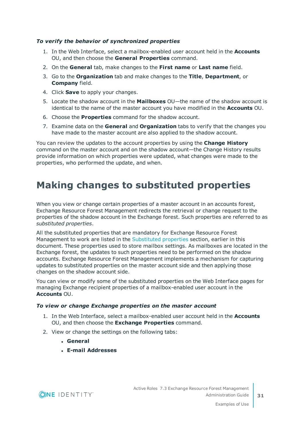#### *To verify the behavior of synchronized properties*

- 1. In the Web Interface, select a mailbox-enabled user account held in the **Accounts** OU, and then choose the **General Properties** command.
- 2. On the **General** tab, make changes to the **First name** or **Last name** field.
- 3. Go to the **Organization** tab and make changes to the **Title**, **Department**, or **Company** field.
- 4. Click **Save** to apply your changes.
- 5. Locate the shadow account in the **Mailboxes** OU—the name of the shadow account is identical to the name of the master account you have modified in the **Accounts** OU.
- 6. Choose the **Properties** command for the shadow account.
- 7. Examine data on the **General** and **Organization** tabs to verify that the changes you have made to the master account are also applied to the shadow account.

You can review the updates to the account properties by using the **Change History** command on the master account and on the shadow account—the Change History results provide information on which properties were updated, what changes were made to the properties, who performed the update, and when.

### <span id="page-30-0"></span>**Making changes to substituted properties**

When you view or change certain properties of a master account in an accounts forest, Exchange Resource Forest Management redirects the retrieval or change request to the properties of the shadow account in the Exchange forest. Such properties are referred to as *substituted properties*.

All the substituted properties that are mandatory for Exchange Resource Forest Management to work are listed in the [Substituted](#page-15-0) properties section, earlier in this document. These properties used to store mailbox settings. As mailboxes are located in the Exchange forest, the updates to such properties need to be performed on the shadow accounts. Exchange Resource Forest Management implements a mechanism for capturing updates to substituted properties on the master account side and then applying those changes on the shadow account side.

You can view or modify some of the substituted properties on the Web Interface pages for managing Exchange recipient properties of a mailbox-enabled user account in the **Accounts** OU.

#### *To view or change Exchange properties on the master account*

- 1. In the Web Interface, select a mailbox-enabled user account held in the **Accounts** OU, and then choose the **Exchange Properties** command.
- 2. View or change the settings on the following tabs:
	- <sup>l</sup> **General**
	- <sup>l</sup> **E-mail Addresses**

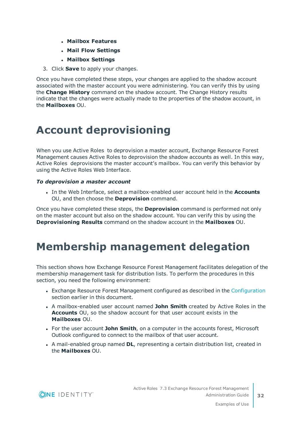- <sup>l</sup> **Mailbox Features**
- <sup>l</sup> **Mail Flow Settings**
- <sup>l</sup> **Mailbox Settings**
- 3. Click **Save** to apply your changes.

Once you have completed these steps, your changes are applied to the shadow account associated with the master account you were administering. You can verify this by using the **Change History** command on the shadow account. The Change History results indicate that the changes were actually made to the properties of the shadow account, in the **Mailboxes** OU.

## <span id="page-31-0"></span>**Account deprovisioning**

When you use Active Roles to deprovision a master account, Exchange Resource Forest Management causes Active Roles to deprovision the shadow accounts as well. In this way, Active Roles deprovisions the master account's mailbox. You can verify this behavior by using the Active Roles Web Interface.

#### *To deprovision a master account*

<sup>l</sup> In the Web Interface, select a mailbox-enabled user account held in the **Accounts** OU, and then choose the **Deprovision** command.

Once you have completed these steps, the **Deprovision** command is performed not only on the master account but also on the shadow account. You can verify this by using the **Deprovisioning Results** command on the shadow account in the **Mailboxes** OU.

## <span id="page-31-1"></span>**Membership management delegation**

This section shows how Exchange Resource Forest Management facilitates delegation of the membership management task for distribution lists. To perform the procedures in this section, you need the following environment:

- Exchange Resource Forest Management configured as described in the [Configuration](#page-27-1) section earlier in this document.
- <sup>l</sup> A mailbox-enabled user account named **John Smith** created by Active Roles in the **Accounts** OU, so the shadow account for that user account exists in the **Mailboxes** OU.
- **.** For the user account John Smith, on a computer in the accounts forest, Microsoft Outlook configured to connect to the mailbox of that user account.
- A mail-enabled group named **DL**, representing a certain distribution list, created in the **Mailboxes** OU.

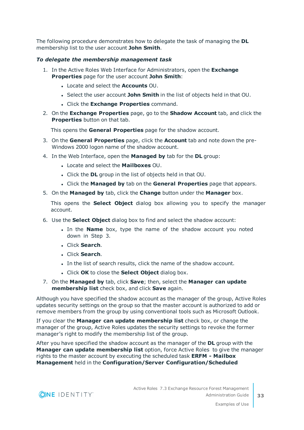The following procedure demonstrates how to delegate the task of managing the **DL** membership list to the user account **John Smith**.

#### *To delegate the membership management task*

- 1. In the Active Roles Web Interface for Administrators, open the **Exchange Properties** page for the user account **John Smith**:
	- <sup>l</sup> Locate and select the **Accounts** OU.
	- **.** Select the user account John Smith in the list of objects held in that OU.
	- <sup>l</sup> Click the **Exchange Properties** command.
- 2. On the **Exchange Properties** page, go to the **Shadow Account** tab, and click the **Properties** button on that tab.

This opens the **General Properties** page for the shadow account.

- 3. On the **General Properties** page, click the **Account** tab and note down the pre-Windows 2000 logon name of the shadow account.
- 4. In the Web Interface, open the **Managed by** tab for the **DL** group:
	- <sup>l</sup> Locate and select the **Mailboxes** OU.
	- **.** Click the **DL** group in the list of objects held in that OU.
	- <sup>l</sup> Click the **Managed by** tab on the **General Properties** page that appears.
- 5. On the **Managed by** tab, click the **Change** button under the **Manager** box.

This opens the **Select Object** dialog box allowing you to specify the manager account.

- 6. Use the **Select Object** dialog box to find and select the shadow account:
	- In the **Name** box, type the name of the shadow account you noted down in Step 3.
	- <sup>l</sup> Click **Search**.
	- <sup>l</sup> Click **Search**.
	- In the list of search results, click the name of the shadow account.
	- <sup>l</sup> Click **OK** to close the **Select Object** dialog box.
- 7. On the **Managed by** tab, click **Save**; then, select the **Manager can update membership list** check box, and click **Save** again.

Although you have specified the shadow account as the manager of the group, Active Roles updates security settings on the group so that the master account is authorized to add or remove members from the group by using conventional tools such as Microsoft Outlook.

If you clear the **Manager can update membership list** check box, or change the manager of the group, Active Roles updates the security settings to revoke the former manager's right to modify the membership list of the group.

After you have specified the shadow account as the manager of the **DL** group with the **Manager can update membership list** option, force Active Roles to give the manager rights to the master account by executing the scheduled task **ERFM - Mailbox Management** held in the **Configuration/Server Configuration/Scheduled**

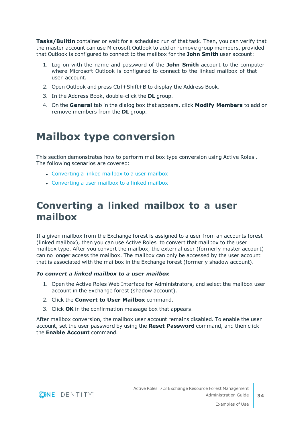**Tasks/Builtin** container or wait for a scheduled run of that task. Then, you can verify that the master account can use Microsoft Outlook to add or remove group members, provided that Outlook is configured to connect to the mailbox for the **John Smith** user account:

- 1. Log on with the name and password of the **John Smith** account to the computer where Microsoft Outlook is configured to connect to the linked mailbox of that user account.
- 2. Open Outlook and press Ctrl+Shift+B to display the Address Book.
- 3. In the Address Book, double-click the **DL** group.
- 4. On the **General** tab in the dialog box that appears, click **Modify Members** to add or remove members from the **DL** group.

## <span id="page-33-0"></span>**Mailbox type conversion**

This section demonstrates how to perform mailbox type conversion using Active Roles . The following scenarios are covered:

- [Converting](#page-33-1) a linked mailbox to a user mailbox
- [Converting](#page-34-0) a user mailbox to a linked mailbox

### <span id="page-33-1"></span>**Converting a linked mailbox to a user mailbox**

If a given mailbox from the Exchange forest is assigned to a user from an accounts forest (linked mailbox), then you can use Active Roles to convert that mailbox to the user mailbox type. After you convert the mailbox, the external user (formerly master account) can no longer access the mailbox. The mailbox can only be accessed by the user account that is associated with the mailbox in the Exchange forest (formerly shadow account).

#### *To convert a linked mailbox to a user mailbox*

- 1. Open the Active Roles Web Interface for Administrators, and select the mailbox user account in the Exchange forest (shadow account).
- 2. Click the **Convert to User Mailbox** command.
- 3. Click **OK** in the confirmation message box that appears.

After mailbox conversion, the mailbox user account remains disabled. To enable the user account, set the user password by using the **Reset Password** command, and then click the **Enable Account** command.

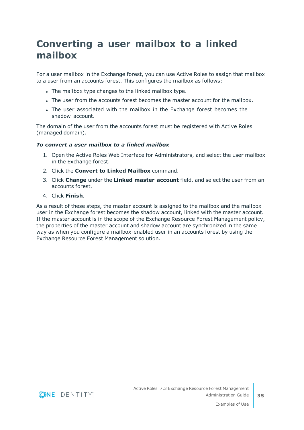### <span id="page-34-0"></span>**Converting a user mailbox to a linked mailbox**

For a user mailbox in the Exchange forest, you can use Active Roles to assign that mailbox to a user from an accounts forest. This configures the mailbox as follows:

- The mailbox type changes to the linked mailbox type.
- The user from the accounts forest becomes the master account for the mailbox.
- The user associated with the mailbox in the Exchange forest becomes the shadow account.

The domain of the user from the accounts forest must be registered with Active Roles (managed domain).

#### *To convert a user mailbox to a linked mailbox*

- 1. Open the Active Roles Web Interface for Administrators, and select the user mailbox in the Exchange forest.
- 2. Click the **Convert to Linked Mailbox** command.
- 3. Click **Change** under the **Linked master account** field, and select the user from an accounts forest.
- 4. Click **Finish**.

As a result of these steps, the master account is assigned to the mailbox and the mailbox user in the Exchange forest becomes the shadow account, linked with the master account. If the master account is in the scope of the Exchange Resource Forest Management policy, the properties of the master account and shadow account are synchronized in the same way as when you configure a mailbox-enabled user in an accounts forest by using the Exchange Resource Forest Management solution.